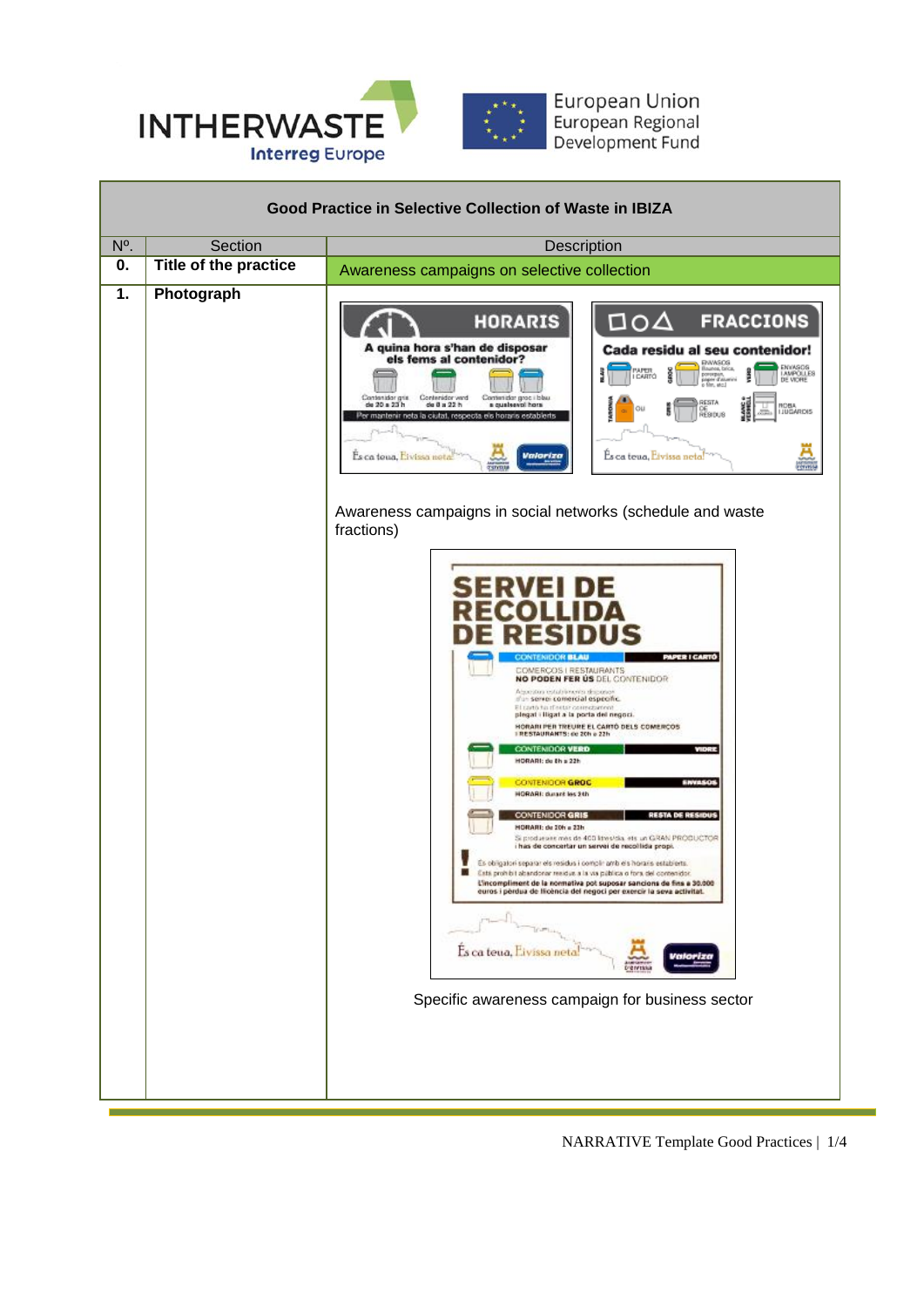

| <b>Good Practice in Selective Collection of Waste in IBIZA</b> |                              |                                                                                                                                                                                                                                                                                                                                                                                                                                                                                                                                                                                                                                                                                                                                                                                                                                                                                                                                                                                                                                                                                                                                                                                                                                                                                                                                                                                                                                                                                                                                                                                                                                                                                                                                                                                                                                                                                           |  |  |
|----------------------------------------------------------------|------------------------------|-------------------------------------------------------------------------------------------------------------------------------------------------------------------------------------------------------------------------------------------------------------------------------------------------------------------------------------------------------------------------------------------------------------------------------------------------------------------------------------------------------------------------------------------------------------------------------------------------------------------------------------------------------------------------------------------------------------------------------------------------------------------------------------------------------------------------------------------------------------------------------------------------------------------------------------------------------------------------------------------------------------------------------------------------------------------------------------------------------------------------------------------------------------------------------------------------------------------------------------------------------------------------------------------------------------------------------------------------------------------------------------------------------------------------------------------------------------------------------------------------------------------------------------------------------------------------------------------------------------------------------------------------------------------------------------------------------------------------------------------------------------------------------------------------------------------------------------------------------------------------------------------|--|--|
| $N^{\circ}$                                                    | Section                      | Description                                                                                                                                                                                                                                                                                                                                                                                                                                                                                                                                                                                                                                                                                                                                                                                                                                                                                                                                                                                                                                                                                                                                                                                                                                                                                                                                                                                                                                                                                                                                                                                                                                                                                                                                                                                                                                                                               |  |  |
| 0.                                                             | <b>Title of the practice</b> |                                                                                                                                                                                                                                                                                                                                                                                                                                                                                                                                                                                                                                                                                                                                                                                                                                                                                                                                                                                                                                                                                                                                                                                                                                                                                                                                                                                                                                                                                                                                                                                                                                                                                                                                                                                                                                                                                           |  |  |
| 1.                                                             | Photograph                   | Awareness campaigns on selective collection<br><b>HORARIS</b><br><b>FRACCIONS</b><br>∆סם<br>A quina hora s'han de disposar<br>Cada residu al seu contenidor!<br>els fems al contenidor?<br><b>ENWSOS</b><br>ENVASOS<br>LAMPÓLLES<br>DE VIORE<br>Влими, бліся.<br>PAPER<br>porospen,<br>paper d'atuarirà<br>o film, atc.]<br>I CARTO<br>Contenidor gris<br>Contenidor wind<br>Contenidor groc i bleu<br>RESTA<br>de 20 a 23 h<br>$du$ B $a$ $22$ h<br>a qualsevol hora<br><b>HOBA</b><br><b>OU</b><br>DE<br>RESIDUS<br><b>IJUGAROIS</b><br>er mantenir neta la ciutat, respecta els horaris establerts<br><b>Valoriza</b><br>Es ca teua, Eivissa netal<br>Es ca toua, Eivissa nota<br>centis<br><b>TSTYTUM</b><br>Awareness campaigns in social networks (schedule and waste<br>fractions)<br><b>PAPER I CARTO</b><br><b>CATENIDOR BLAD</b><br>COMERCOS   RESTAURANTS<br>NO PODEN FER US DEL CONTENIDOR<br>Abocatos establiments desposer<br>t'un servei comercial específic.<br>El cartò fui d'estar comedanent<br>plegat i lligat a la porta del negoci.<br>HORARI PER TREURE EL CARTÓ DELS COMERÇOS<br><b>TRESTAURANTS: de 20h a 22h</b><br><b>CONTENIDOR VERO</b><br><b>MARKET</b><br>HORARI: do th a 22h<br><b>ENVASOS</b><br><b>CONTENIDOR GROC</b><br><b>HORARI: durant les 2th</b><br><b>CONTENIDOR GRIS</b><br><b>RESTA DE RESIDUS</b><br><b>HORARI: de 20h a 22h</b><br>Si produesies más de 400 ktres/dia, ets un GRAN PRODUCTOR<br>i has de concertar un servei de recol·lida propi.<br>Es obligatori separar els residus i compli: amb els horaris establerts.<br>Está prohibit abandonar residus a la via pública o fora del contenidor.<br>m<br>L'incompliment de la normativa pot suposar sancions de fins a 30.000<br>euros i perdua de flicència del negoci per exercir la seva activitat.<br>Es ca teua, Eivissa net<br>Specific awareness campaign for business sector |  |  |
|                                                                |                              |                                                                                                                                                                                                                                                                                                                                                                                                                                                                                                                                                                                                                                                                                                                                                                                                                                                                                                                                                                                                                                                                                                                                                                                                                                                                                                                                                                                                                                                                                                                                                                                                                                                                                                                                                                                                                                                                                           |  |  |
|                                                                |                              |                                                                                                                                                                                                                                                                                                                                                                                                                                                                                                                                                                                                                                                                                                                                                                                                                                                                                                                                                                                                                                                                                                                                                                                                                                                                                                                                                                                                                                                                                                                                                                                                                                                                                                                                                                                                                                                                                           |  |  |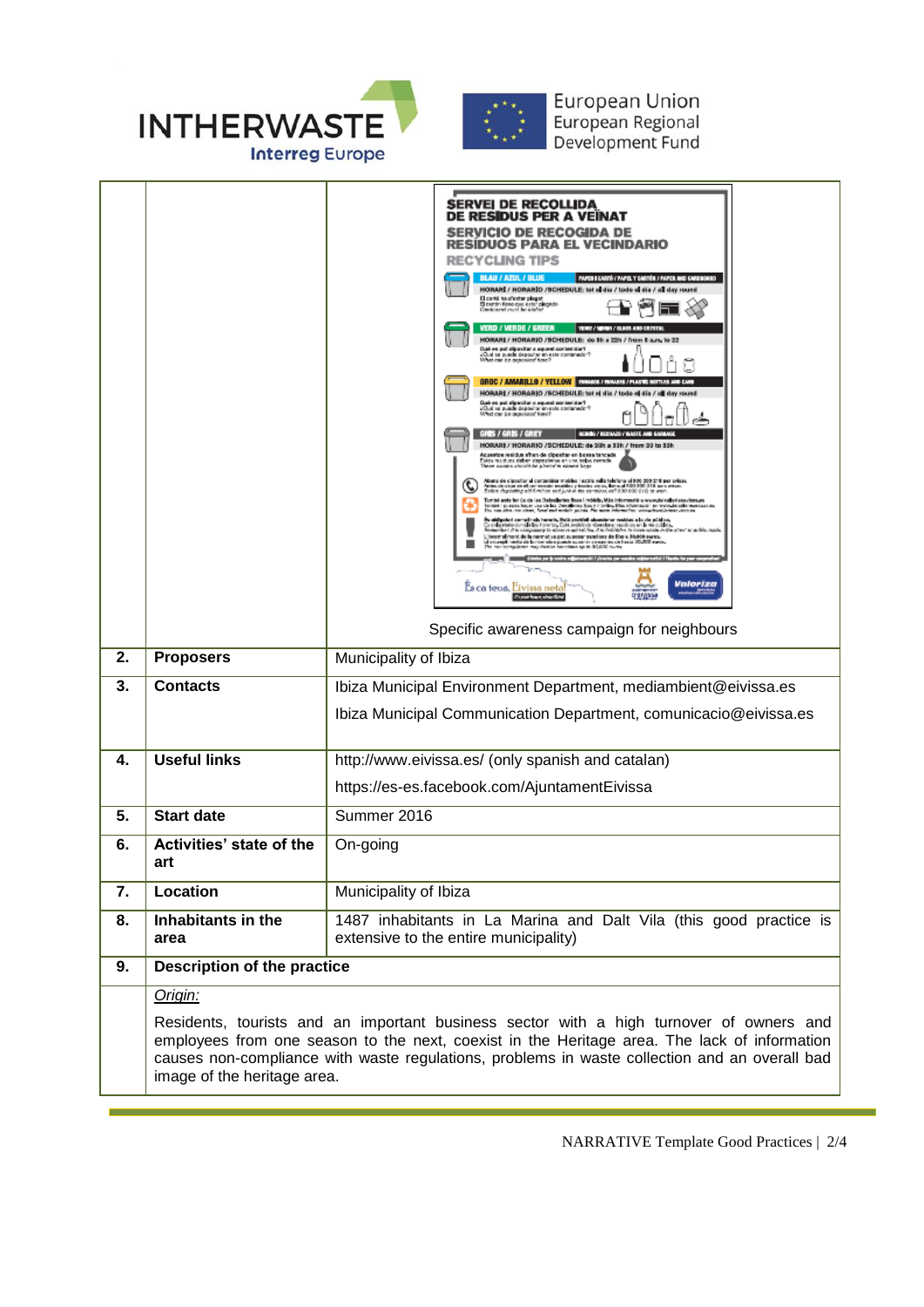

|    |                                                                                                                                                                                                                                                                                                                         | <b>SERVEI DE RECOLLIDA</b><br><b>DE RESIDUS PER A VEINAT</b><br><b>SERVICIO DE RECOGIDA DE</b><br><b>RESIDUOS PARA EL VECINDARIO</b><br><b>RECYCLING TIPS</b><br><b>BLAU / AZUL / BLUE</b><br>PAPER II CARDÓ / PAPEL Y CARDÓN / PAPER AND CARDOOAN<br>HORAR / HORAR O / SCHEDULE: tot of dia / tode of the / all day round<br>El cartó ha d'estar plegat<br>El cartón fiere que estar plegado<br>Gardònerd muni de idébel<br>VERD / VERDE / GREEN<br>VICE / 4 420 / 6140 440 6470 1<br>HORARI / HORARIO /SCHEDULE: do 8h a 22h / from 8 a.m. to 22<br>Qué es pot dipositar a equest contenidor?<br>JQué se puede depositar en este contenedor?<br>Whet one be depositer have?<br>GROC / AMARILLO / YELLOW   INNASIS / INVASIS / PLASTIC RO<br>HORARS / HORARJO /SCHEDULE: tot el dia / todo el dia / al day round<br>Cush es pot dipositor a aquest contenidor?<br>¿Cushas puede depositor en sale contenedor?<br>What can be deposited toye?<br>GROS / GROS / GREY<br>REPORT REPAIRS FRASTE ARE<br>HORARI / HORARIO /SCHEDULE: de 20h a 33h / from 20 to 33h<br>Acuentos residus s'han de cipesitar en bossa tencade<br>Estos residuas deben dependêncio en una bobia conteón.<br>These vissaes should de pinecel la númeal baga<br>Abens de dipositor al contenidor mobiles i estita refisi telefona al 980-208 di fi per selase.<br>Antes de sigui en el sur terraino matelar y hastes vienes, llava al 980-209 di fi sura antes.<br>Soloni dipositivo ald fundato esd<br>Esmitel andes des Cascia i en Dieteralismiens Roues i mobilita. Més indomenació as enconde los federes cinemat<br>Antales i possión, hacia i una ciclica Dieteralismia, fue, y il Conten, Manustatura i en entre possión antales<br><br>polaci samajih ole harante, italik probinti alemataran makitar a la sta polatisa.<br>primo portala italia homoa, Cala sociale de Asandaran makitor, an la via polatisa.<br>dari di la sompamaje in alemana administra. Itali habitat<br>compliment de la narmativa pat suscessi suscessi de lina a NAROS comp.<br>Complimento de la nomision possè superior susseries de lusta 152,500 costa.<br>Annicomplèment may famille american après 16,600 cursa.<br>Valoriza<br>Es ca teua, Eivissa neta<br>Specific awareness campaign for neighbours |  |
|----|-------------------------------------------------------------------------------------------------------------------------------------------------------------------------------------------------------------------------------------------------------------------------------------------------------------------------|---------------------------------------------------------------------------------------------------------------------------------------------------------------------------------------------------------------------------------------------------------------------------------------------------------------------------------------------------------------------------------------------------------------------------------------------------------------------------------------------------------------------------------------------------------------------------------------------------------------------------------------------------------------------------------------------------------------------------------------------------------------------------------------------------------------------------------------------------------------------------------------------------------------------------------------------------------------------------------------------------------------------------------------------------------------------------------------------------------------------------------------------------------------------------------------------------------------------------------------------------------------------------------------------------------------------------------------------------------------------------------------------------------------------------------------------------------------------------------------------------------------------------------------------------------------------------------------------------------------------------------------------------------------------------------------------------------------------------------------------------------------------------------------------------------------------------------------------------------------------------------------------------------------------------------------------------------------------------------------------------------------------------------------------------------------------------------------------------------------------------------------------------------------------------------------------------------------------------------------------------------------------|--|
| 2. | <b>Proposers</b>                                                                                                                                                                                                                                                                                                        | Municipality of Ibiza                                                                                                                                                                                                                                                                                                                                                                                                                                                                                                                                                                                                                                                                                                                                                                                                                                                                                                                                                                                                                                                                                                                                                                                                                                                                                                                                                                                                                                                                                                                                                                                                                                                                                                                                                                                                                                                                                                                                                                                                                                                                                                                                                                                                                                               |  |
| 3. | <b>Contacts</b>                                                                                                                                                                                                                                                                                                         | Ibiza Municipal Environment Department, mediambient@eivissa.es                                                                                                                                                                                                                                                                                                                                                                                                                                                                                                                                                                                                                                                                                                                                                                                                                                                                                                                                                                                                                                                                                                                                                                                                                                                                                                                                                                                                                                                                                                                                                                                                                                                                                                                                                                                                                                                                                                                                                                                                                                                                                                                                                                                                      |  |
|    |                                                                                                                                                                                                                                                                                                                         | Ibiza Municipal Communication Department, comunicacio@eivissa.es                                                                                                                                                                                                                                                                                                                                                                                                                                                                                                                                                                                                                                                                                                                                                                                                                                                                                                                                                                                                                                                                                                                                                                                                                                                                                                                                                                                                                                                                                                                                                                                                                                                                                                                                                                                                                                                                                                                                                                                                                                                                                                                                                                                                    |  |
| 4. | <b>Useful links</b>                                                                                                                                                                                                                                                                                                     | http://www.eivissa.es/ (only spanish and catalan)                                                                                                                                                                                                                                                                                                                                                                                                                                                                                                                                                                                                                                                                                                                                                                                                                                                                                                                                                                                                                                                                                                                                                                                                                                                                                                                                                                                                                                                                                                                                                                                                                                                                                                                                                                                                                                                                                                                                                                                                                                                                                                                                                                                                                   |  |
|    |                                                                                                                                                                                                                                                                                                                         | https://es-es.facebook.com/AjuntamentEivissa                                                                                                                                                                                                                                                                                                                                                                                                                                                                                                                                                                                                                                                                                                                                                                                                                                                                                                                                                                                                                                                                                                                                                                                                                                                                                                                                                                                                                                                                                                                                                                                                                                                                                                                                                                                                                                                                                                                                                                                                                                                                                                                                                                                                                        |  |
| 5. | <b>Start date</b>                                                                                                                                                                                                                                                                                                       | Summer 2016                                                                                                                                                                                                                                                                                                                                                                                                                                                                                                                                                                                                                                                                                                                                                                                                                                                                                                                                                                                                                                                                                                                                                                                                                                                                                                                                                                                                                                                                                                                                                                                                                                                                                                                                                                                                                                                                                                                                                                                                                                                                                                                                                                                                                                                         |  |
| 6. | Activities' state of the<br>art                                                                                                                                                                                                                                                                                         | On-going                                                                                                                                                                                                                                                                                                                                                                                                                                                                                                                                                                                                                                                                                                                                                                                                                                                                                                                                                                                                                                                                                                                                                                                                                                                                                                                                                                                                                                                                                                                                                                                                                                                                                                                                                                                                                                                                                                                                                                                                                                                                                                                                                                                                                                                            |  |
| 7. | Location                                                                                                                                                                                                                                                                                                                | Municipality of Ibiza                                                                                                                                                                                                                                                                                                                                                                                                                                                                                                                                                                                                                                                                                                                                                                                                                                                                                                                                                                                                                                                                                                                                                                                                                                                                                                                                                                                                                                                                                                                                                                                                                                                                                                                                                                                                                                                                                                                                                                                                                                                                                                                                                                                                                                               |  |
| 8. | Inhabitants in the                                                                                                                                                                                                                                                                                                      | 1487 inhabitants in La Marina and Dalt Vila (this good practice is                                                                                                                                                                                                                                                                                                                                                                                                                                                                                                                                                                                                                                                                                                                                                                                                                                                                                                                                                                                                                                                                                                                                                                                                                                                                                                                                                                                                                                                                                                                                                                                                                                                                                                                                                                                                                                                                                                                                                                                                                                                                                                                                                                                                  |  |
|    | area                                                                                                                                                                                                                                                                                                                    | extensive to the entire municipality)                                                                                                                                                                                                                                                                                                                                                                                                                                                                                                                                                                                                                                                                                                                                                                                                                                                                                                                                                                                                                                                                                                                                                                                                                                                                                                                                                                                                                                                                                                                                                                                                                                                                                                                                                                                                                                                                                                                                                                                                                                                                                                                                                                                                                               |  |
| 9. | Description of the practice                                                                                                                                                                                                                                                                                             |                                                                                                                                                                                                                                                                                                                                                                                                                                                                                                                                                                                                                                                                                                                                                                                                                                                                                                                                                                                                                                                                                                                                                                                                                                                                                                                                                                                                                                                                                                                                                                                                                                                                                                                                                                                                                                                                                                                                                                                                                                                                                                                                                                                                                                                                     |  |
|    | Origin:                                                                                                                                                                                                                                                                                                                 |                                                                                                                                                                                                                                                                                                                                                                                                                                                                                                                                                                                                                                                                                                                                                                                                                                                                                                                                                                                                                                                                                                                                                                                                                                                                                                                                                                                                                                                                                                                                                                                                                                                                                                                                                                                                                                                                                                                                                                                                                                                                                                                                                                                                                                                                     |  |
|    | Residents, tourists and an important business sector with a high turnover of owners and<br>employees from one season to the next, coexist in the Heritage area. The lack of information<br>causes non-compliance with waste regulations, problems in waste collection and an overall bad<br>image of the heritage area. |                                                                                                                                                                                                                                                                                                                                                                                                                                                                                                                                                                                                                                                                                                                                                                                                                                                                                                                                                                                                                                                                                                                                                                                                                                                                                                                                                                                                                                                                                                                                                                                                                                                                                                                                                                                                                                                                                                                                                                                                                                                                                                                                                                                                                                                                     |  |

NARRATIVE Template Good Practices | 2/4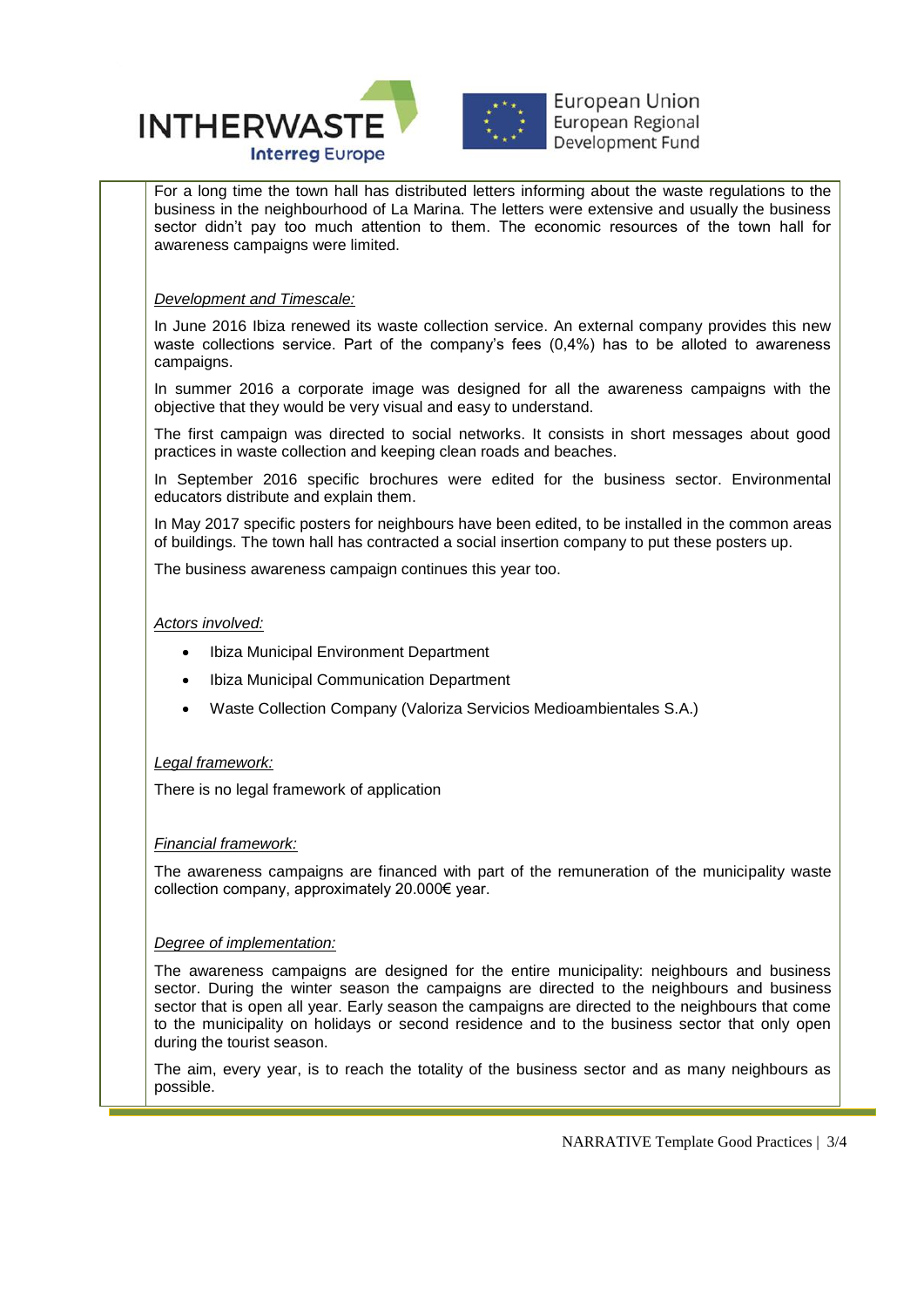

For a long time the town hall has distributed letters informing about the waste regulations to the business in the neighbourhood of La Marina. The letters were extensive and usually the business sector didn't pay too much attention to them. The economic resources of the town hall for awareness campaigns were limited.

### *Development and Timescale:*

In June 2016 Ibiza renewed its waste collection service. An external company provides this new waste collections service. Part of the company's fees (0,4%) has to be alloted to awareness campaigns.

In summer 2016 a corporate image was designed for all the awareness campaigns with the objective that they would be very visual and easy to understand.

The first campaign was directed to social networks. It consists in short messages about good practices in waste collection and keeping clean roads and beaches.

In September 2016 specific brochures were edited for the business sector. Environmental educators distribute and explain them.

In May 2017 specific posters for neighbours have been edited, to be installed in the common areas of buildings. The town hall has contracted a social insertion company to put these posters up.

The business awareness campaign continues this year too.

### *Actors involved:*

- Ibiza Municipal Environment Department
- Ibiza Municipal Communication Department
- Waste Collection Company (Valoriza Servicios Medioambientales S.A.)

#### *Legal framework:*

There is no legal framework of application

# *Financial framework:*

The awareness campaigns are financed with part of the remuneration of the municipality waste collection company, approximately 20.000€ year.

# *Degree of implementation:*

The awareness campaigns are designed for the entire municipality: neighbours and business sector. During the winter season the campaigns are directed to the neighbours and business sector that is open all year. Early season the campaigns are directed to the neighbours that come to the municipality on holidays or second residence and to the business sector that only open during the tourist season.

The aim, every year, is to reach the totality of the business sector and as many neighbours as possible.

NARRATIVE Template Good Practices | 3/4